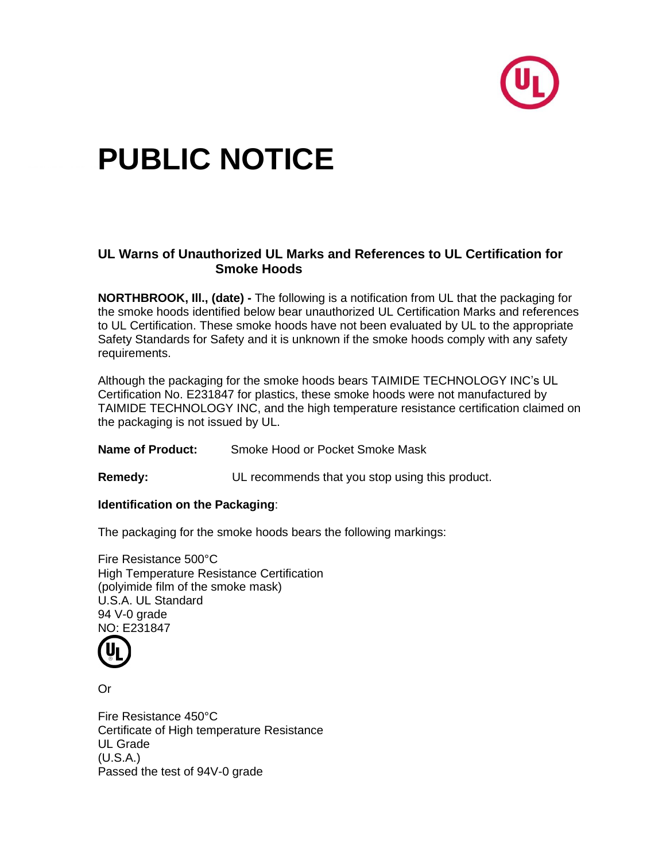

# **PUBLIC NOTICE**

## **UL Warns of Unauthorized UL Marks and References to UL Certification for Smoke Hoods**

**NORTHBROOK, Ill., (date) -** The following is a notification from UL that the packaging for the smoke hoods identified below bear unauthorized UL Certification Marks and references to UL Certification. These smoke hoods have not been evaluated by UL to the appropriate Safety Standards for Safety and it is unknown if the smoke hoods comply with any safety requirements.

Although the packaging for the smoke hoods bears TAIMIDE TECHNOLOGY INC's UL Certification No. E231847 for plastics, these smoke hoods were not manufactured by TAIMIDE TECHNOLOGY INC, and the high temperature resistance certification claimed on the packaging is not issued by UL.

**Name of Product:** Smoke Hood or Pocket Smoke Mask

**Remedy:** UL recommends that you stop using this product.

#### **Identification on the Packaging**:

The packaging for the smoke hoods bears the following markings:

Fire Resistance 500°C High Temperature Resistance Certification (polyimide film of the smoke mask) U.S.A. UL Standard 94 V-0 grade NO: E231847



Or

Fire Resistance 450°C Certificate of High temperature Resistance UL Grade (U.S.A.) Passed the test of 94V-0 grade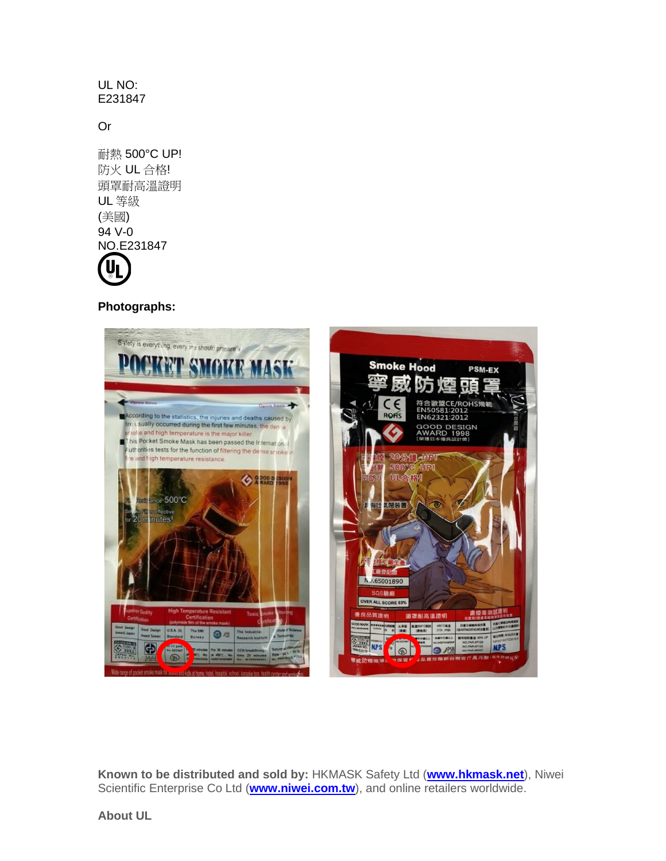### UL NO: E231847

## Or

耐熱 500°C UP! 防火 UL 合格! 頭罩耐高溫證明 UL 等級 (美國) 94 V-0 NO.E231847 **U** 

**Photographs:**



**Known to be distributed and sold by:** HKMASK Safety Ltd (**[www.hkmask.net](http://www.hkmask.net/)**), Niwei Scientific Enterprise Co Ltd (**[www.niwei.com.tw](http://www.niwei.com.tw/)**), and online retailers worldwide.

**About UL**